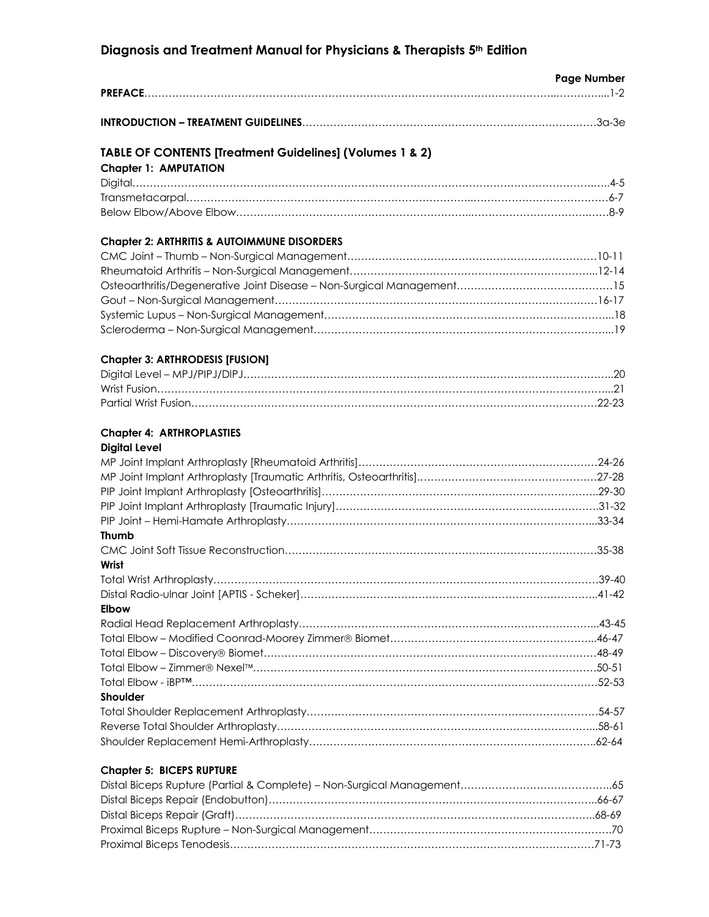# **Diagnosis and Treatment Manual for Physicians & Therapists 5th Edition**

|                                                                     | <b>Page Number</b> |
|---------------------------------------------------------------------|--------------------|
|                                                                     |                    |
|                                                                     |                    |
| <b>TABLE OF CONTENTS [Treatment Guidelines] (Volumes 1 &amp; 2)</b> |                    |
| <b>Chapter 1: AMPUTATION</b>                                        |                    |
|                                                                     |                    |
|                                                                     |                    |
|                                                                     |                    |
| <b>Chapter 2: ARTHRITIS &amp; AUTOIMMUNE DISORDERS</b>              |                    |
|                                                                     |                    |
|                                                                     |                    |
|                                                                     |                    |
|                                                                     |                    |
|                                                                     |                    |
|                                                                     |                    |
| <b>Chapter 3: ARTHRODESIS [FUSION]</b>                              |                    |
|                                                                     |                    |
|                                                                     |                    |
|                                                                     |                    |
| <b>Chapter 4: ARTHROPLASTIES</b>                                    |                    |
| <b>Digital Level</b>                                                |                    |
|                                                                     |                    |
|                                                                     |                    |
|                                                                     |                    |
|                                                                     |                    |
|                                                                     |                    |
| <b>Thumb</b>                                                        |                    |
|                                                                     |                    |
| Wrist                                                               |                    |
|                                                                     |                    |
|                                                                     |                    |
| <b>Elbow</b>                                                        |                    |
|                                                                     |                    |
|                                                                     |                    |
|                                                                     |                    |
|                                                                     |                    |
|                                                                     |                    |
| <b>Shoulder</b>                                                     |                    |
|                                                                     |                    |
|                                                                     |                    |
|                                                                     |                    |
|                                                                     |                    |

# **Chapter 5: BICEPS RUPTURE**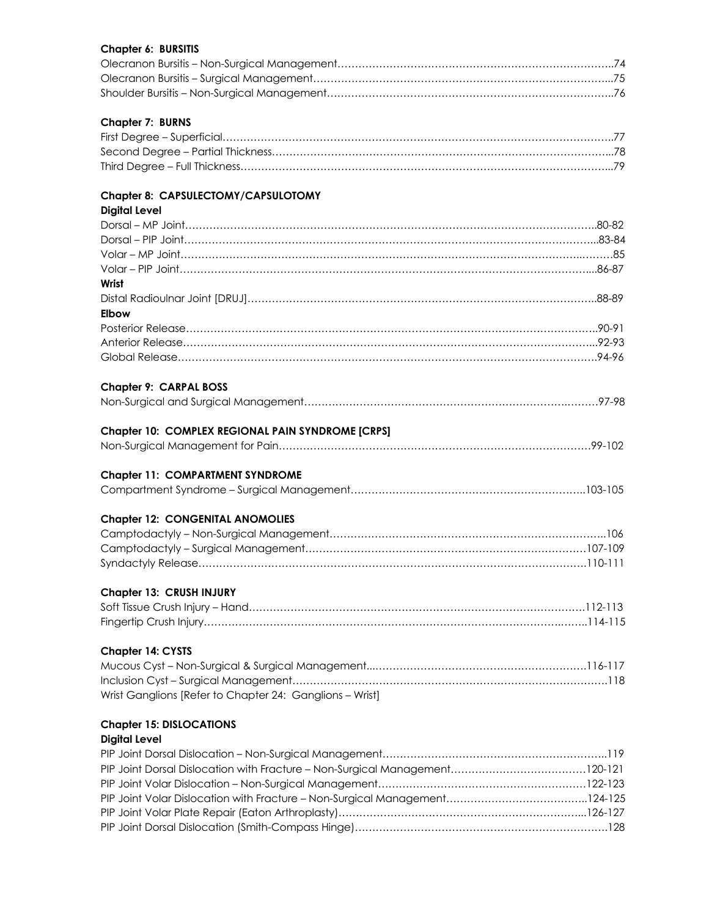#### **Chapter 6: BURSITIS**

#### **Chapter 7: BURNS**

# **Chapter 8: CAPSULECTOMY/CAPSULOTOMY**

| Chapter 8: CAPSULECTOMY/CAPSULOTOMY                      |  |
|----------------------------------------------------------|--|
| <b>Digital Level</b>                                     |  |
|                                                          |  |
|                                                          |  |
|                                                          |  |
|                                                          |  |
| Wrist                                                    |  |
|                                                          |  |
| <b>Elbow</b>                                             |  |
|                                                          |  |
|                                                          |  |
|                                                          |  |
| Chapter 9: CARPAL BOSS                                   |  |
|                                                          |  |
| Chapter 10: COMPLEX REGIONAL PAIN SYNDROME [CRPS]        |  |
|                                                          |  |
| <b>Chapter 11: COMPARTMENT SYNDROME</b>                  |  |
|                                                          |  |
| <b>Chapter 12: CONGENITAL ANOMOLIES</b>                  |  |
|                                                          |  |
|                                                          |  |
|                                                          |  |
| Chapter 13: CRUSH INJURY                                 |  |
|                                                          |  |
|                                                          |  |
| <b>Chapter 14: CYSTS</b>                                 |  |
|                                                          |  |
|                                                          |  |
| Wrist Ganglions [Refer to Chapter 24: Ganglions - Wrist] |  |

# **Chapter 15: DISLOCATIONS**

# **Digital Level**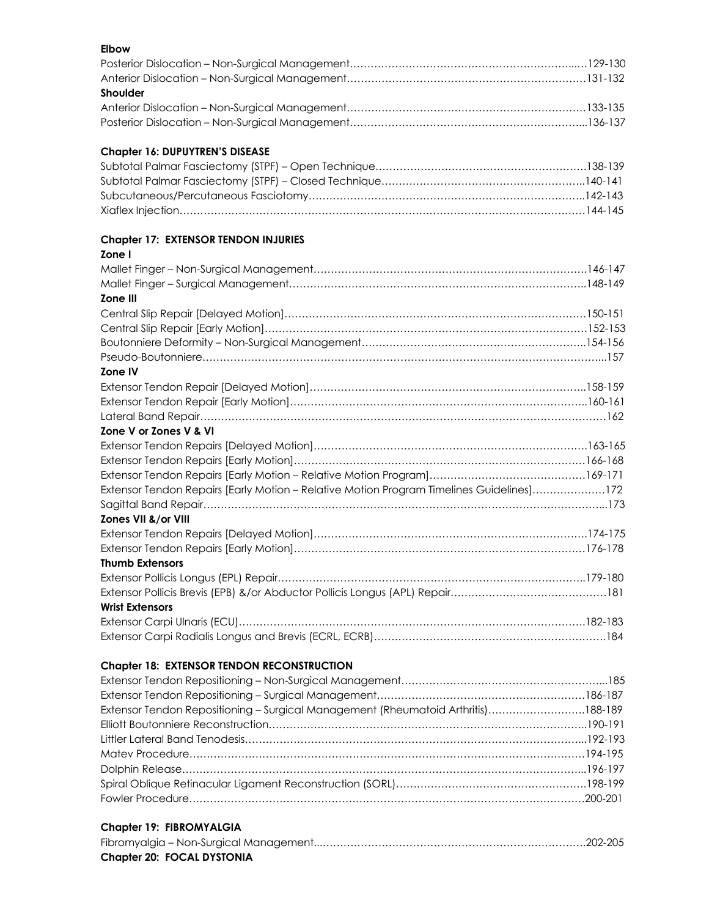#### **Elbow** Posterior Dislocation – Non-Surgical Management………………………………………………………...…129-130 Anterior Dislocation – Non-Surgical Management……………………………………………………………131-132 **Shoulder** Anterior Dislocation – Non-Surgical Management……………………………………………………………133-135 Posterior Dislocation – Non-Surgical Management…………………………………………………………...136-137

#### **Chapter 16: DUPUYTREN'S DISEASE**

### **Chapter 17: EXTENSOR TENDON INJURIES**

#### **Zone I** Mallet Finger – Non-Surgical Management…………………………………………………………………….146-147 Mallet Finger – Surgical Management…………………………………………………………………………..148-149 **Zone III**  Central Slip Repair [Delayed Motion]……………………………………………………………………………150-151 Central Slip Repair [Early Motion]…………………………………………………………………………………152-153 Boutonniere Deformity – Non-Surgical Management………………………………………………………..154-156 Pseudo-Boutonniere……………………………………………………………………………………………………...157 **Zone IV** Extensor Tendon Repair [Delayed Motion]……………………………………………………………………..158-159 Extensor Tendon Repair [Early Motion]…………………………………………………………………………..160-161 Lateral Band Repair………………………………………………………………………………………………………162 **Zone V or Zones V & VI** Extensor Tendon Repairs [Delayed Motion]…………………………………………………………………….163-165 Extensor Tendon Repairs [Early Motion]…………………………………………………………………………166-168 Extensor Tendon Repairs [Early Motion – Relative Motion Program]………………………………………169-171 Extensor Tendon Repairs [Early Motion – Relative Motion Program Timelines Guidelines]…………………172 Sagittal Band Repair……………………………………………………………………………………………………...173 **Zones VII &/or VIII** Extensor Tendon Repairs [Delayed Motion]…………………………………………………………………….174-175 Extensor Tendon Repairs [Early Motion]…………………………………………………………………………176-178 **Thumb Extensors** Extensor Pollicis Longus (EPL) Repair……………………………………………………………………………..179-180 Extensor Pollicis Brevis (EPB) &/or Abductor Pollicis Longus (APL) Repair………………………………………181 **Wrist Extensors** Extensor Carpi Ulnaris (ECU)……………………………………………………………………………………….182-183 Extensor Carpi Radialis Longus and Brevis (ECRL, ECRB)………………………………………………………….184

#### **Chapter 18: EXTENSOR TENDON RECONSTRUCTION**

| Extensor Tendon Repositioning - Surgical Management (Rheumatoid Arthritis)188-189 |  |
|-----------------------------------------------------------------------------------|--|
|                                                                                   |  |
|                                                                                   |  |
|                                                                                   |  |
|                                                                                   |  |
|                                                                                   |  |
|                                                                                   |  |

#### **Chapter 19: FIBROMYALGIA**

| <b>Chapter 20: FOCAL DYSTONIA</b> |  |
|-----------------------------------|--|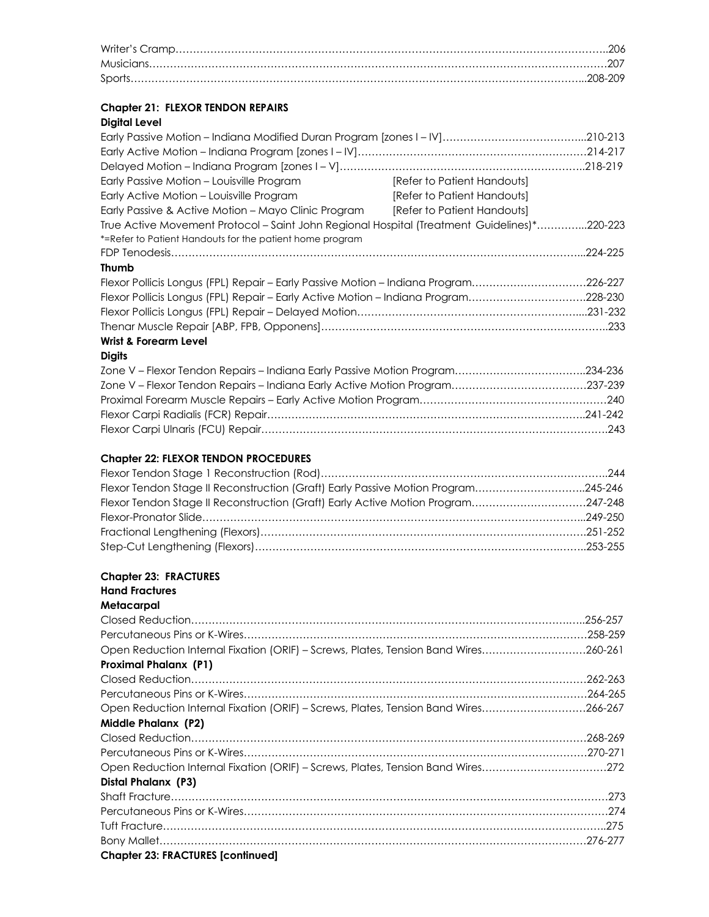# **Chapter 21: FLEXOR TENDON REPAIRS**

# **Digital Level**

| Early Passive Motion - Louisville Program                                                   | [Refer to Patient Handouts] |
|---------------------------------------------------------------------------------------------|-----------------------------|
| Early Active Motion - Louisville Program                                                    | [Refer to Patient Handouts] |
| Early Passive & Active Motion - Mayo Clinic Program                                         | [Refer to Patient Handouts] |
| True Active Movement Protocol – Saint John Regional Hospital (Treatment Guidelines)*220-223 |                             |
| *=Refer to Patient Handouts for the patient home program                                    |                             |
|                                                                                             |                             |
| <b>Thumb</b>                                                                                |                             |
| Flexor Pollicis Longus (FPL) Repair – Early Passive Motion – Indiana Program226-227         |                             |
| Flexor Pollicis Longus (FPL) Repair - Early Active Motion - Indiana Program228-230          |                             |
|                                                                                             |                             |
|                                                                                             |                             |
| <b>Wrist &amp; Forearm Level</b>                                                            |                             |

# **Digits**

### **Chapter 22: FLEXOR TENDON PROCEDURES**

| Flexor Tendon Stage II Reconstruction (Graft) Early Passive Motion Program245-246 |  |
|-----------------------------------------------------------------------------------|--|
| Flexor Tendon Stage II Reconstruction (Graft) Early Active Motion Program247-248  |  |
|                                                                                   |  |
|                                                                                   |  |
|                                                                                   |  |

#### **Chapter 23: FRACTURES**

| <b>Hand Fractures</b>                                                               |  |
|-------------------------------------------------------------------------------------|--|
| Metacarpal                                                                          |  |
|                                                                                     |  |
|                                                                                     |  |
| Open Reduction Internal Fixation (ORIF) - Screws, Plates, Tension Band Wires260-261 |  |
| <b>Proximal Phalanx (P1)</b>                                                        |  |
|                                                                                     |  |
|                                                                                     |  |
| Open Reduction Internal Fixation (ORIF) - Screws, Plates, Tension Band Wires266-267 |  |
| Middle Phalanx (P2)                                                                 |  |
|                                                                                     |  |
|                                                                                     |  |
| Open Reduction Internal Fixation (ORIF) - Screws, Plates, Tension Band Wires272     |  |
| Distal Phalanx (P3)                                                                 |  |
|                                                                                     |  |
|                                                                                     |  |
|                                                                                     |  |
|                                                                                     |  |
| <b>Chapter 23: FRACTURES [continued]</b>                                            |  |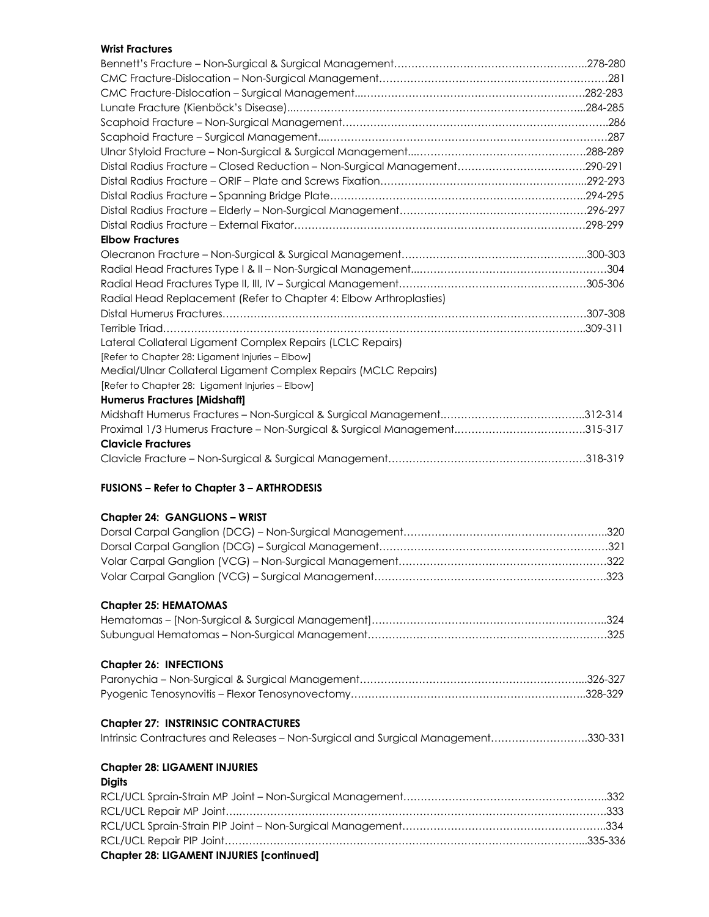#### **Wrist Fractures**

| Distal Radius Fracture - Closed Reduction - Non-Surgical Management290-291 |  |
|----------------------------------------------------------------------------|--|
|                                                                            |  |
|                                                                            |  |
|                                                                            |  |
|                                                                            |  |
| <b>Elbow Fractures</b>                                                     |  |
|                                                                            |  |
|                                                                            |  |
|                                                                            |  |
| Radial Head Replacement (Refer to Chapter 4: Elbow Arthroplasties)         |  |
|                                                                            |  |
|                                                                            |  |
| Lateral Collateral Ligament Complex Repairs (LCLC Repairs)                 |  |
| [Refer to Chapter 28: Ligament Injuries - Elbow]                           |  |
| Medial/Ulnar Collateral Ligament Complex Repairs (MCLC Repairs)            |  |
| [Refer to Chapter 28: Ligament Injuries - Elbow]                           |  |
| <b>Humerus Fractures [Midshaft]</b>                                        |  |
|                                                                            |  |
|                                                                            |  |
| <b>Clavicle Fractures</b>                                                  |  |
|                                                                            |  |

#### **FUSIONS – Refer to Chapter 3 – ARTHRODESIS**

#### **Chapter 24: GANGLIONS – WRIST**

#### **Chapter 25: HEMATOMAS**

#### **Chapter 26: INFECTIONS**

# **Chapter 27: INSTRINSIC CONTRACTURES**

| Intrinsic Contractures and Releases - Non-Surgical and Surgical Management330-331 |  |  |  |
|-----------------------------------------------------------------------------------|--|--|--|
|-----------------------------------------------------------------------------------|--|--|--|

#### **Chapter 28: LIGAMENT INJURIES**

### **Digits**

| <b>Chapter 28: LIGAMENT INJURIES [continued]</b> |  |
|--------------------------------------------------|--|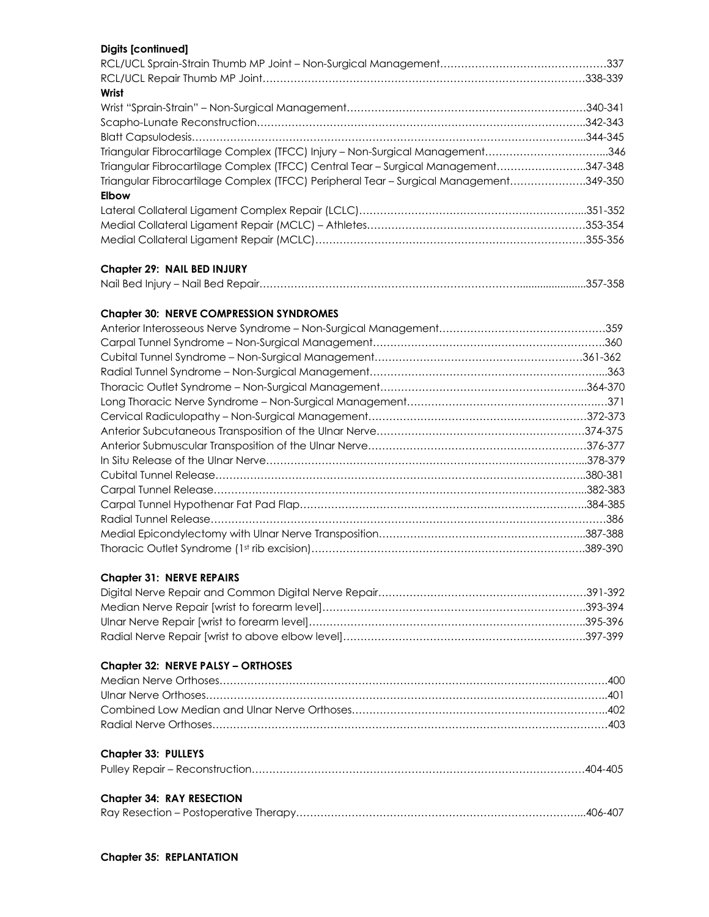| <b>Digits [continued]</b>                                                             |  |
|---------------------------------------------------------------------------------------|--|
|                                                                                       |  |
|                                                                                       |  |
| Wrist                                                                                 |  |
|                                                                                       |  |
|                                                                                       |  |
|                                                                                       |  |
| Triangular Fibrocartilage Complex (TFCC) Injury - Non-Surgical Management346          |  |
| Triangular Fibrocartilage Complex (TFCC) Central Tear - Surgical Management347-348    |  |
| Triangular Fibrocartilage Complex (TFCC) Peripheral Tear - Surgical Management349-350 |  |
| <b>Elbow</b>                                                                          |  |
|                                                                                       |  |
|                                                                                       |  |
|                                                                                       |  |
|                                                                                       |  |
| Chapter 29: NAIL BED INJURY                                                           |  |
|                                                                                       |  |
|                                                                                       |  |
| <b>Chapter 30: NERVE COMPRESSION SYNDROMES</b>                                        |  |
|                                                                                       |  |
|                                                                                       |  |
|                                                                                       |  |
|                                                                                       |  |
|                                                                                       |  |
|                                                                                       |  |
|                                                                                       |  |
|                                                                                       |  |
|                                                                                       |  |
|                                                                                       |  |
|                                                                                       |  |
|                                                                                       |  |
|                                                                                       |  |
|                                                                                       |  |
|                                                                                       |  |
|                                                                                       |  |
|                                                                                       |  |
| <b>Chapter 31: NERVE REPAIRS</b>                                                      |  |
|                                                                                       |  |
|                                                                                       |  |
|                                                                                       |  |
|                                                                                       |  |
| Chapter 32: NERVE PALSY - ORTHOSES                                                    |  |
|                                                                                       |  |
|                                                                                       |  |
|                                                                                       |  |
|                                                                                       |  |
|                                                                                       |  |
| <b>Chapter 33: PULLEYS</b>                                                            |  |
|                                                                                       |  |
| <b>Chapter 34: RAY RESECTION</b>                                                      |  |
|                                                                                       |  |
|                                                                                       |  |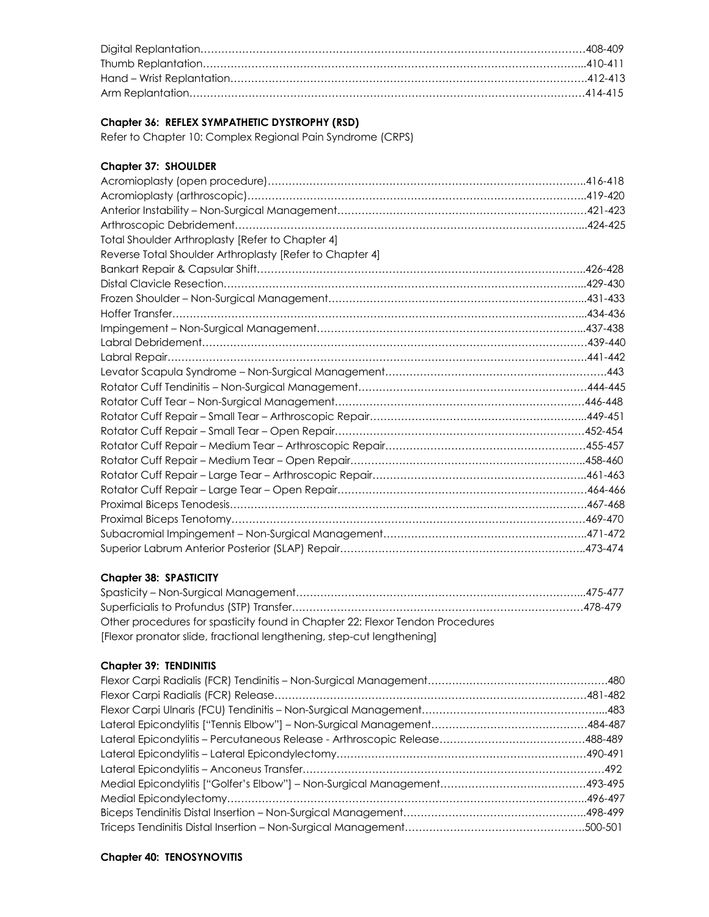#### **Chapter 36: REFLEX SYMPATHETIC DYSTROPHY (RSD)**

Refer to Chapter 10: Complex Regional Pain Syndrome (CRPS)

#### **Chapter 37: SHOULDER**

| Total Shoulder Arthroplasty [Refer to Chapter 4]         |  |
|----------------------------------------------------------|--|
| Reverse Total Shoulder Arthroplasty [Refer to Chapter 4] |  |
|                                                          |  |
|                                                          |  |
|                                                          |  |
|                                                          |  |
|                                                          |  |
|                                                          |  |
|                                                          |  |
|                                                          |  |
|                                                          |  |
|                                                          |  |
|                                                          |  |
|                                                          |  |
|                                                          |  |
|                                                          |  |
|                                                          |  |
|                                                          |  |
|                                                          |  |
|                                                          |  |
|                                                          |  |
|                                                          |  |
|                                                          |  |

#### **Chapter 38: SPASTICITY**

| Other procedures for spasticity found in Chapter 22: Flexor Tendon Procedures |  |
|-------------------------------------------------------------------------------|--|
| [Flexor pronator slide, fractional lengthening, step-cut lengthening]         |  |

#### **Chapter 39: TENDINITIS**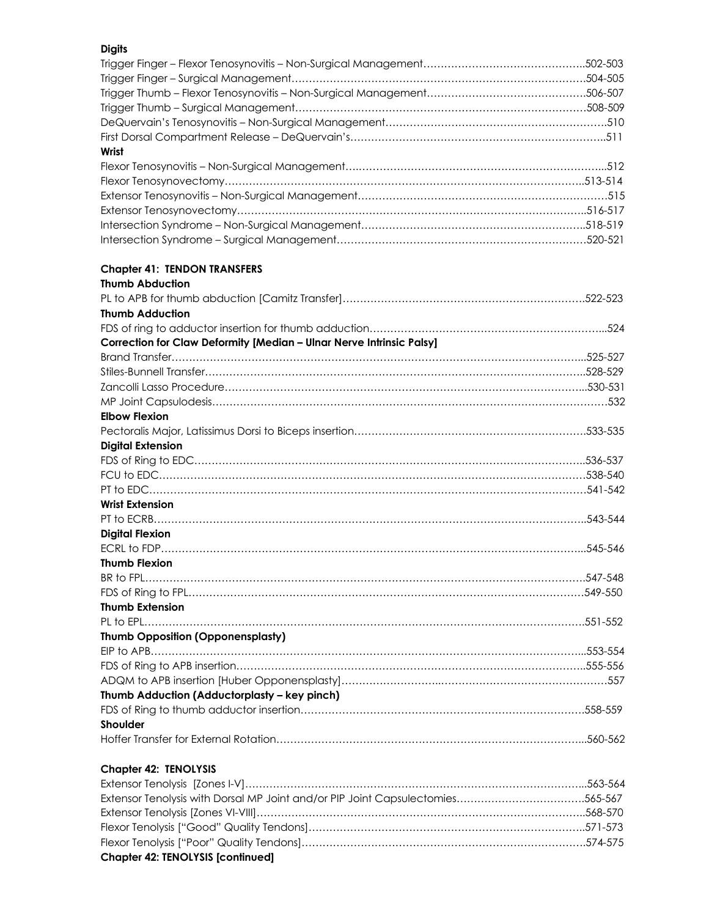| <b>Digits</b>                                                        |  |
|----------------------------------------------------------------------|--|
|                                                                      |  |
|                                                                      |  |
|                                                                      |  |
|                                                                      |  |
|                                                                      |  |
|                                                                      |  |
| Wrist                                                                |  |
|                                                                      |  |
|                                                                      |  |
|                                                                      |  |
|                                                                      |  |
|                                                                      |  |
|                                                                      |  |
| <b>Chapter 41: TENDON TRANSFERS</b>                                  |  |
| <b>Thumb Abduction</b>                                               |  |
|                                                                      |  |
| <b>Thumb Adduction</b>                                               |  |
|                                                                      |  |
| Correction for Claw Deformity [Median - Ulnar Nerve Intrinsic Palsy] |  |
|                                                                      |  |
|                                                                      |  |
|                                                                      |  |
|                                                                      |  |
| <b>Elbow Flexion</b>                                                 |  |
|                                                                      |  |
| <b>Digital Extension</b>                                             |  |
|                                                                      |  |
|                                                                      |  |
|                                                                      |  |
| <b>Wrist Extension</b>                                               |  |
|                                                                      |  |
| <b>Digital Flexion</b>                                               |  |
|                                                                      |  |
| <b>Thumb Flexion</b>                                                 |  |
|                                                                      |  |
|                                                                      |  |
| <b>Thumb Extension</b>                                               |  |
|                                                                      |  |
| <b>Thumb Opposition (Opponensplasty)</b>                             |  |
|                                                                      |  |
|                                                                      |  |
|                                                                      |  |
| Thumb Adduction (Adductorplasty - key pinch)                         |  |
|                                                                      |  |
| Shoulder                                                             |  |
|                                                                      |  |

#### **Chapter 42: TENOLYSIS**

| <b>Chapter 42: TENOLYSIS [continued]</b>                                       |  |
|--------------------------------------------------------------------------------|--|
|                                                                                |  |
|                                                                                |  |
|                                                                                |  |
| Extensor Tenolysis with Dorsal MP Joint and/or PIP Joint Capsulectomies565-567 |  |
|                                                                                |  |

Hoffer Transfer for External Rotation……………………………………………………………………………...560-562